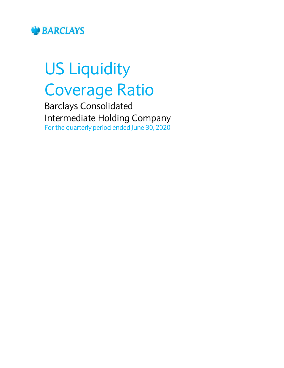

# US Liquidity Coverage Ratio

Barclays Consolidated Intermediate Holding Company For the quarterly period ended June 30, 2020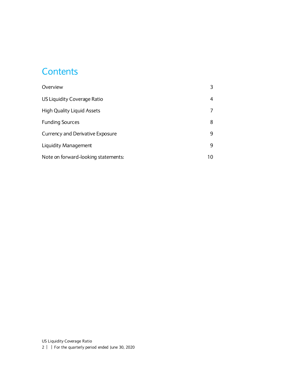#### **Contents**

| Overview                            |    |
|-------------------------------------|----|
| US Liquidity Coverage Ratio         | 4  |
| <b>High Quality Liquid Assets</b>   |    |
| <b>Funding Sources</b>              | 8  |
| Currency and Derivative Exposure    | 9  |
| <b>Liquidity Management</b>         | 9  |
| Note on forward-looking statements: | 10 |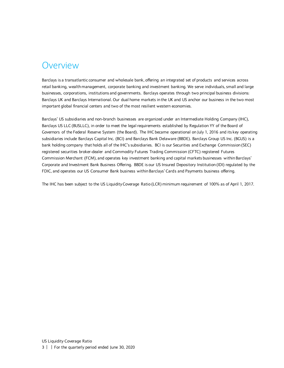#### <span id="page-2-0"></span>Overview

Barclays is a transatlantic consumer and wholesale bank, offering an integrated set of products and services across retail banking, wealth management, corporate banking and investment banking. We serve individuals, small and large businesses, corporations, institutions and governments. Barclays operates through two principal business divisions: Barclays UK and Barclays International. Our dual home markets in the UK and US anchor our business in the two most important global financial centers and two of the most resilient western economies.

Barclays' US subsidiaries and non-branch businesses are organized under an Intermediate Holding Company (IHC), Barclays US LLC (BUSLLC), in order to meet the legal requirements established by Regulation YY of the Board of Governors of the Federal Reserve System (the Board). The IHC became operational on July 1, 2016 and its key operating subsidiaries include Barclays Capital Inc. (BCI) and Barclays Bank Delaware (BBDE). Barclays Group US Inc. (BGUS) is a bank holding company that holds all of the IHC's subsidiaries. BCI is our Securities and Exchange Commission (SEC) registered securities broker-dealer and Commodity Futures Trading Commission (CFTC) registered Futures Commission Merchant (FCM), and operates key investment banking and capital markets businesses within Barclays' Corporate and Investment Bank Business Offering. BBDE is our US Insured Depository Institution (IDI) regulated by the FDIC, and operates our US Consumer Bank business within Barclays' Cards and Payments business offering.

The IHC has been subject to the US Liquidity Coverage Ratio (LCR) minimum requirement of 100% as of April 1, 2017.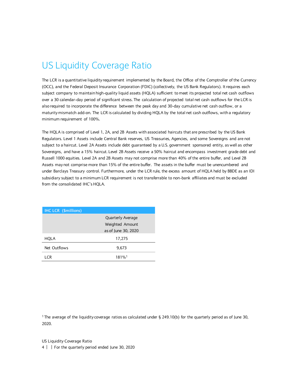# <span id="page-3-0"></span>US Liquidity Coverage Ratio

The LCR is a quantitative liquidity requirement implemented by the Board, the Office of the Comptroller of the Currency (OCC), and the Federal Deposit Insurance Corporation (FDIC) (collectively, the US Bank Regulators). It requires each subject company to maintain high-quality liquid assets (HQLA) sufficient to meet its projected total net cash outflows over a 30 calendar-day period of significant stress. The calculation of projected total net cash outflows for the LCR is also required to incorporate the difference between the peak day and 30-day cumulative net cash outflow, or a maturity mismatch add-on. The LCR is calculated by dividing HQLA by the total net cash outflows, with a regulatory minimum requirement of 100%.

The HQLA is comprised of Level 1, 2A, and 2B Assets with associated haircuts that are prescribed by the US Bank Regulators. Level 1 Assets include Central Bank reserves, US Treasuries, Agencies, and some Sovereigns and are not subject to a haircut. Level 2A Assets include debt guaranteed by a U.S. government sponsored entity, as well as other Sovereigns, and have a 15% haircut. Level 2B Assets receive a 50% haircut and encompass investment grade debt and Russell 1000 equities. Level 2A and 2B Assets may not comprise more than 40% of the entire buffer, and Level 2B Assets may not comprise more than 15% of the entire buffer. The assets in the buffer must be unencumbered and under Barclays Treasury control. Furthermore, under the LCR rule, the excess amount of HQLA held by BBDE as an IDI subsidiary subject to a minimum LCR requirement is not transferrable to non-bank affiliates and must be excluded from the consolidated IHC's HQLA.

| <b>IHC LCR (\$millions)</b> |                          |
|-----------------------------|--------------------------|
|                             | <b>Quarterly Average</b> |
|                             | Weighted Amount          |
|                             | as of June 30, 2020      |
| HQLA                        | 17,275                   |
| Net Outflows                | 9,673                    |
| I CR                        | 181% <sup>1</sup>        |

<sup>1</sup>The average of the liquidity coverage ratios as calculated under § 249.10(b) for the quarterly period as of June 30, 2020.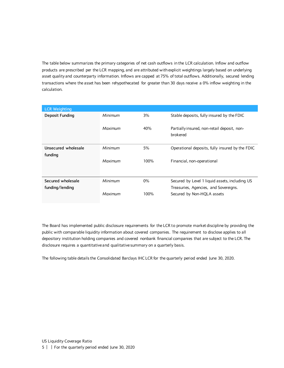The table below summarizes the primary categories of net cash outflows in the LCR calculation. Inflow and outflow products are prescribed per the LCR mapping, and are attributed with explicit weightings largely based on underlying asset quality and counterparty information. Inflows are capped at 75% of total outflows. Additionally, secured lending transactions where the asset has been rehypothecated for greater than 30 days receive a 0% inflow weighting in the calculation.

| <b>LCR Weighting</b> |         |       |                                                         |
|----------------------|---------|-------|---------------------------------------------------------|
| Deposit Funding      | Minimum | 3%    | Stable deposits, fully insured by the FDIC              |
|                      | Maximum | 40%   | Partially insured, non-retail deposit, non-<br>brokered |
| Unsecured wholesale  | Minimum | 5%    | Operational deposits, fully insured by the FDIC         |
| funding              |         |       |                                                         |
|                      | Maximum | 100%  | Financial, non-operational                              |
|                      |         |       |                                                         |
| Secured wholesale    | Minimum | $0\%$ | Secured by Level 1 liquid assets, including US          |
| funding/lending      |         |       | Treasuries, Agencies, and Sovereigns.                   |
|                      | Maximum | 100%  | Secured by Non-HQLA assets                              |

The Board has implemented public disclosure requirements for the LCR to promote market discipline by providing the public with comparable liquidity information about covered companies. The requirement to disclose applies to all depository institution holding companies and covered nonbank financial companies that are subject to the LCR. The disclosure requires a quantitative and qualitative summary on a quarterly basis.

The following table details the Consolidated Barclays IHC LCR for the quarterly period ended June 30, 2020.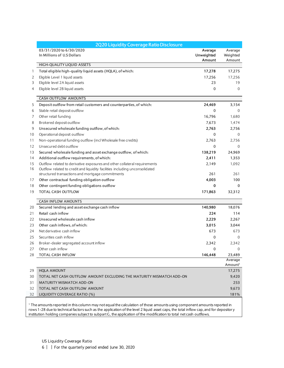|                 | 2Q20 Liquidity Coverage Ratio Disclosure                                    |                                 |                               |
|-----------------|-----------------------------------------------------------------------------|---------------------------------|-------------------------------|
|                 | 03/31/2020 to 6/30/2020<br>In Millions of U.S Dollars                       | Average<br>Unweighted<br>Amount | Average<br>Weighted<br>Amount |
|                 | HIGH-QUALITY LIQUID ASSETS                                                  |                                 |                               |
| 1               | Total eligible high-quality liquid assets (HQLA), of which:                 | 17,278                          | 17,275                        |
| 2               | Eligible Level 1 liquid assets                                              | 17,256                          | 17,256                        |
| 3               | Eligible level 2A liquid assets                                             | 23                              | 19                            |
| 4               | Eligible level 2B liquid assets                                             | $\mathbf{0}$                    | $\mathbf{0}$                  |
|                 | <b>CASH OUTFLOW AMOUNTS</b>                                                 |                                 |                               |
| 5               | Deposit outflow from retail customers and counterparties, of which:         | 24,469                          | 3,154                         |
| 6               | Stable retail deposit outflow                                               | $\mathbf{0}$                    | $\Omega$                      |
| 7               | Other retail funding                                                        | 16,796                          | 1,680                         |
| 8               | Brokered deposit outflow                                                    | 7,673                           | 1,474                         |
| 9               | Unsecured wholesale funding outflow, of which:                              | 2,763                           | 2,756                         |
| 10              | Operational deposit outflow                                                 | 0                               | $\Omega$                      |
| 11              | Non-operational funding outflow (incl Wholesale free credits)               | 2,763                           | 2,756                         |
| 12              | Unsecured debt outflow                                                      | 0                               | $\mathbf{0}$                  |
| 13              | Secured wholesale funding and asset exchange outflow, of which:             | 138,219                         | 24,969                        |
| 14              | Additional outflow requirements, of which:                                  | 2,411                           | 1,353                         |
| 15              | Outflow related to derivative exposures and other collateral requirements   | 2,149                           | 1,092                         |
| 16              | Outflow related to credit and liquidity facilities including unconsolidated |                                 |                               |
|                 | structured transactions and mortgage commitments                            | 261                             | 261                           |
| 17              | Other contractual funding obligation outflow                                | 4,003                           | 100                           |
| 18              | Other contingent funding obligations outflow                                | 0                               | $\mathbf{0}$                  |
| 19              | TOTAL CASH OUTFLOW                                                          | 171,863                         | 32,312                        |
|                 | <b>CASH INFLOW AMOUNTS</b>                                                  |                                 |                               |
| 20              | Secured lending and asset exchange cash inflow                              | 140,980                         | 18,076                        |
| 21              | Retail cash inflow                                                          | 224                             | 114                           |
| 22              | Unsecured wholesale cash inflow                                             | 2,229                           | 2,267                         |
| 23              | Other cash inflows, of which:                                               | 3,015                           | 3,044                         |
| 24              | Net derivative cash inflow                                                  | 673                             | 673                           |
| 25              | Securities cash inflow                                                      | $\mathbf{0}$                    | $\mathbf{0}$                  |
| 26              | Broker-dealer segregated account inflow                                     | 2,342                           | 2.342                         |
| 27              | Other cash inflow                                                           | $\mathbf{0}$                    | $\mathbf{0}$                  |
| 28              | <b>TOTAL CASH INFLOW</b>                                                    | 146,448                         | 23,489                        |
|                 |                                                                             |                                 | Average                       |
|                 |                                                                             |                                 | Amount <sup>1</sup>           |
| 29              | <b>HQLA AMOUNT</b>                                                          |                                 | 17,275                        |
| 30              | TOTAL NET CASH OUTFLOW AMOUNT EXCLUDING THE MATURITY MISMATCH ADD-ON        |                                 | 9,420                         |
| 31              | <b>MATURITY MISMATCH ADD-ON</b>                                             |                                 | 253                           |
| 32              | TOTAL NET CASH OUTFLOW AMOUNT                                               |                                 | 9,673                         |
| 32 <sup>2</sup> | LIQUIDITY COVERAGE RATIO (%)                                                |                                 | 181%                          |

 The amounts reported in this column may not equal the calculation of those amounts using component amounts reported in rows 1-28 due to technical factors such as the application of the level 2 liquid asset caps, the total inflow cap, and for depositor y institution holding companies subject to subpart G, the application of the modification to total net cash outflows.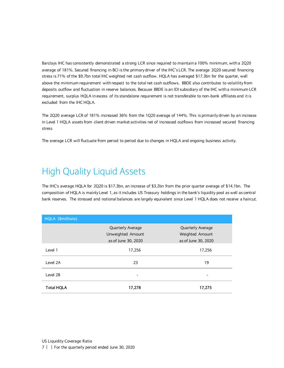Barclays IHC has consistently demonstrated a strong LCR since required to maintain a 100% minimum, with a 2Q20 average of 181%. Secured financing in BCI is the primary driver of the IHC's LCR. The average 2Q20 secured financing stress is 71% of the \$9.7bn total IHC weighted net cash outflow. HQLA has averaged \$17.3bn for the quarter, well above the minimum requirement with respect to the total net cash outflows. BBDE also contributes to volatility from deposits outflow and fluctuation in reserve balances. Because BBDE is an IDI subsidiary of the IHC with a minimum LCR requirement, surplus HQLA in excess of its standalone requirement is not transferable to non-bank affiliates and it is excluded from the IHC HQLA.

The 2Q20 average LCR of 181% increased 36% from the 1Q20 average of 144%. This is primarily driven by an increase in Level 1 HQLA assets from client driven market activities net of increased outflows from increased secured financing stress.

The average LCR will fluctuate from period to period due to changes in HQLA and ongoing business activity.

### <span id="page-6-0"></span>High Quality Liquid Assets

The IHC's average HQLA for 2Q20 is \$17.3bn, an increase of \$3.2bn from the prior quarter average of \$14.1bn. The composition of HQLA is mainly Level 1, as it includes US Treasury holdings in the bank's liquidity pool as well as central bank reserves. The stressed and notional balances are largely equivalent since Level 1 HQLA does not receive a haircut.

| HQLA (\$millions) |                                        |                     |  |
|-------------------|----------------------------------------|---------------------|--|
|                   | Quarterly Average<br>Quarterly Average |                     |  |
|                   | Unweighted Amount                      | Weighted Amount     |  |
|                   | as of June 30, 2020                    | as of June 30, 2020 |  |
| Level 1           | 17,256                                 | 17,256              |  |
| Level 2A          | 23                                     | 19                  |  |
| Level 2B          |                                        |                     |  |
| <b>Total HQLA</b> | 17,278                                 | 17,275              |  |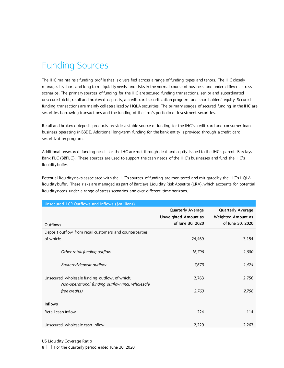# <span id="page-7-0"></span>Funding Sources

The IHC maintains a funding profile that is diversified across a range of funding types and tenors. The IHC closely manages its short and long term liquidity needs and risks in the normal course of business and under different stress scenarios. The primary sources of funding for the IHC are secured funding transactions, senior and subordinated unsecured debt, retail and brokered deposits, a credit card securitization program, and shareholders' equity. Secured funding transactions are mainly collateralized by HQLA securities. The primary usages of secured funding in the IHC are securities borrowing transactions and the funding of the firm's portfolio of investment securities.

Retail and brokered deposit products provide a stable source of funding for the IHC's credit card and consumer loan business operating in BBDE. Additional long-term funding for the bank entity is provided through a credit card securitization program.

Additional unsecured funding needs for the IHC are met through debt and equity issued to the IHC's parent, Barclays Bank PLC (BBPLC). These sources are used to support the cash needs of the IHC's businesses and fund the IHC's liquidity buffer.

Potential liquidity risks associated with the IHC's sources of funding are monitored and mitigated by the IHC's HQLA liquidity buffer. These risks are managed as part of Barclays Liquidity Risk Appetite (LRA), which accounts for potential liquidity needs under a range of stress scenarios and over different time horizons.

| Unsecured LCR Outflows and Inflows (\$millions)                                                    |                                                                      |                                                                    |
|----------------------------------------------------------------------------------------------------|----------------------------------------------------------------------|--------------------------------------------------------------------|
| Outflows                                                                                           | <b>Quarterly Average</b><br>Unweighted Amount as<br>of June 30, 2020 | <b>Quarterly Average</b><br>Weighted Amount as<br>of June 30, 2020 |
| Deposit outflow from retail customers and counterparties,                                          |                                                                      |                                                                    |
| of which:                                                                                          | 24,469                                                               | 3,154                                                              |
| Other retail funding outflow                                                                       | 16,796                                                               | 1,680                                                              |
| Brokered deposit outflow                                                                           | 7,673                                                                | 1,474                                                              |
| Unsecured wholesale funding outflow, of which:<br>Non-operational funding outflow (incl. Wholesale | 2,763                                                                | 2,756                                                              |
| free credits)                                                                                      | 2,763                                                                | 2,756                                                              |
| <b>Inflows</b>                                                                                     |                                                                      |                                                                    |
| Retail cash inflow                                                                                 | 224                                                                  | 114                                                                |
| Unsecured wholesale cash inflow                                                                    | 2,229                                                                | 2,267                                                              |

US Liquidity Coverage Ratio

8 | | For the quarterly period ended June 30, 2020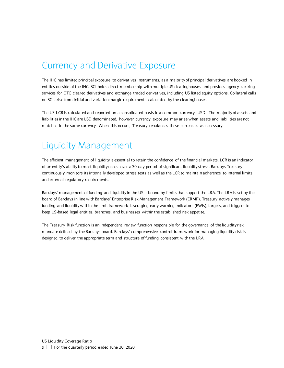#### <span id="page-8-0"></span>Currency and Derivative Exposure

The IHC has limited principal exposure to derivatives instruments, as a majority of principal derivatives are booked in entities outside of the IHC. BCI holds direct membership with multiple US clearinghouses and provides agency clearing services for OTC cleared derivatives and exchange traded derivatives, including US listed equity options. Collateral calls on BCI arise from initial and variation margin requirements calculated by the clearinghouses.

The US LCR is calculated and reported on a consolidated basis in a common currency, USD. The majority of assets and liabilities in the IHC are USD denominated, however currency exposure may arise when assets and liabilities are not matched in the same currency. When this occurs, Treasury rebalances these currencies as necessary.

#### <span id="page-8-1"></span>Liquidity Management

The efficient management of liquidity is essential to retain the confidence of the financial markets. LCR is an indicator of an entity's ability to meet liquidity needs over a 30-day period of significant liquidity stress. Barclays Treasury continuously monitors its internally developed stress tests as well as the LCR to maintain adherence to internal limits and external regulatory requirements.

Barclays' management of funding and liquidity in the US is bound by limits that support the LRA. The LRA is set by the board of Barclays in line with Barclays' Enterprise Risk Management Framework (ERMF). Treasury actively manages funding and liquidity within the limit framework, leveraging early warning indicators (EWIs), targets, and triggers to keep US-based legal entities, branches, and businesses within the established risk appetite.

The Treasury Risk function is an independent review function responsible for the governance of the liquidity risk mandate defined by the Barclays board. Barclays' comprehensive control framework for managing liquidity risk is designed to deliver the appropriate term and structure of funding consistent with the LRA.